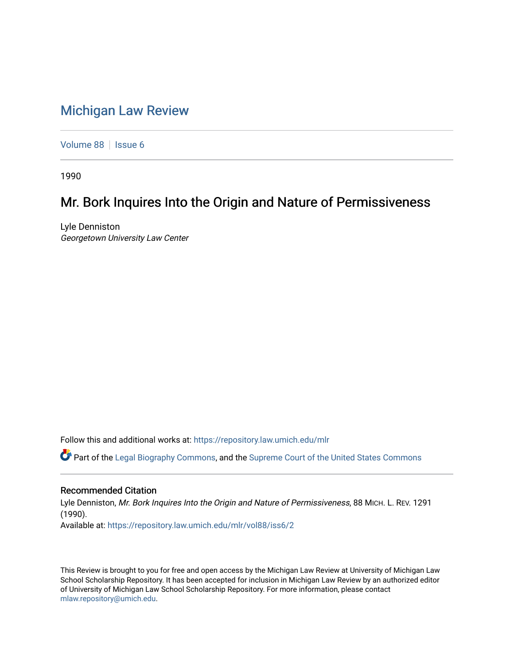## [Michigan Law Review](https://repository.law.umich.edu/mlr)

[Volume 88](https://repository.law.umich.edu/mlr/vol88) | [Issue 6](https://repository.law.umich.edu/mlr/vol88/iss6)

1990

# Mr. Bork Inquires Into the Origin and Nature of Permissiveness

Lyle Denniston Georgetown University Law Center

Follow this and additional works at: [https://repository.law.umich.edu/mlr](https://repository.law.umich.edu/mlr?utm_source=repository.law.umich.edu%2Fmlr%2Fvol88%2Fiss6%2F2&utm_medium=PDF&utm_campaign=PDFCoverPages) 

 $\bullet$  Part of the [Legal Biography Commons,](http://network.bepress.com/hgg/discipline/834?utm_source=repository.law.umich.edu%2Fmlr%2Fvol88%2Fiss6%2F2&utm_medium=PDF&utm_campaign=PDFCoverPages) and the Supreme Court of the United States Commons

### Recommended Citation

Lyle Denniston, Mr. Bork Inquires Into the Origin and Nature of Permissiveness, 88 MICH. L. REV. 1291 (1990). Available at: [https://repository.law.umich.edu/mlr/vol88/iss6/2](https://repository.law.umich.edu/mlr/vol88/iss6/2?utm_source=repository.law.umich.edu%2Fmlr%2Fvol88%2Fiss6%2F2&utm_medium=PDF&utm_campaign=PDFCoverPages)

This Review is brought to you for free and open access by the Michigan Law Review at University of Michigan Law School Scholarship Repository. It has been accepted for inclusion in Michigan Law Review by an authorized editor of University of Michigan Law School Scholarship Repository. For more information, please contact [mlaw.repository@umich.edu.](mailto:mlaw.repository@umich.edu)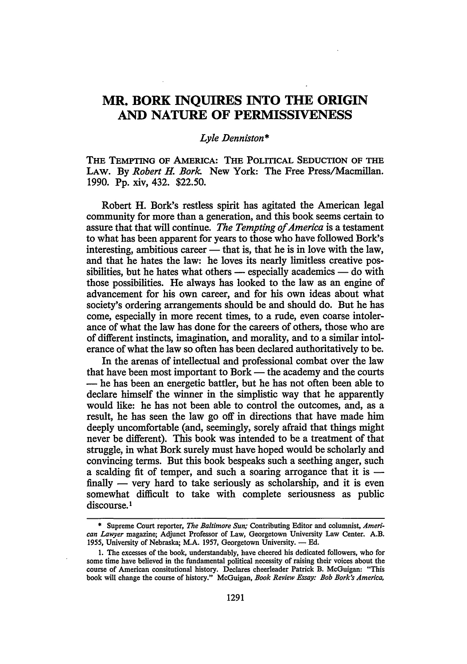### **MR. BORK INQUIRES INTO THE ORIGIN AND NATURE OF PERMISSIVENESS**

#### *Lyle Denniston\**

THE TEMPTING OF AMERICA: THE POLITICAL SEDUCTION OF THE LAW. By *Robert H. Bork.* New York: The Free Press/Macmillan. 1990. Pp. xiv, 432. \$22.50.

Robert H. Bork's restless spirit has agitated the American legal community for more than a generation, and this book seems certain to assure that that will continue. *The Tempting of America* is a testament to what has been apparent for years to those who have followed Bork's interesting, ambitious career  $-$  that is, that he is in love with the law, and that he hates the law: he loves its nearly limitless creative possibilities, but he hates what others  $-$  especially academics  $-$  do with those possibilities. He always has looked to the law as an engine of advancement for his own career, and for his own ideas about what society's ordering arrangements should be and should do. But he has come, especially in more recent times, to a rude, even coarse intolerance of what the law has done for the careers of others, those who are of different instincts, imagination, and morality, and to a similar intolerance of what the law so often has been declared authoritatively to be.

In the arenas of intellectual and professional combat over the law that have been most important to  $Bork$  — the academy and the courts - he has been an energetic battler, but he has not often been able to declare himself the winner in the simplistic way that he apparently would like: he has not been able to control the outcomes, and, as a result, he has seen the law go off in directions that have made him deeply uncomfortable (and, seemingly, sorely afraid that things might never be different). This book was intended to be a treatment of that struggle, in what Bork surely must have hoped would be scholarly and convincing terms. But this book bespeaks such a seething anger, such a scalding fit of temper, and such a soaring arrogance that it is  $$ finally  $-$  very hard to take seriously as scholarship, and it is even somewhat difficult to take with complete seriousness as public discourse.<sup>1</sup>

<sup>\*</sup> Supreme Court reporter, *The Baltimore Sun;* Contributing Editor and columnist, *American Lawyer* magazine; Adjunct Professor of Law, Georgetown University Law Center. A.B. 1955, University of Nebraska; M.A. 1957, Georgetown University. -- Ed.

<sup>1.</sup> The excesses of the book, understandably, have cheered his dedicated followers, who for some time have believed in the fundamental political necessity of raising their voices about the course of American consitutional history. Declares cheerleader Patrick B. McGuigan: "This book will change the course of history." McGuigan, *Book Review Essay: Bob Bork's America,*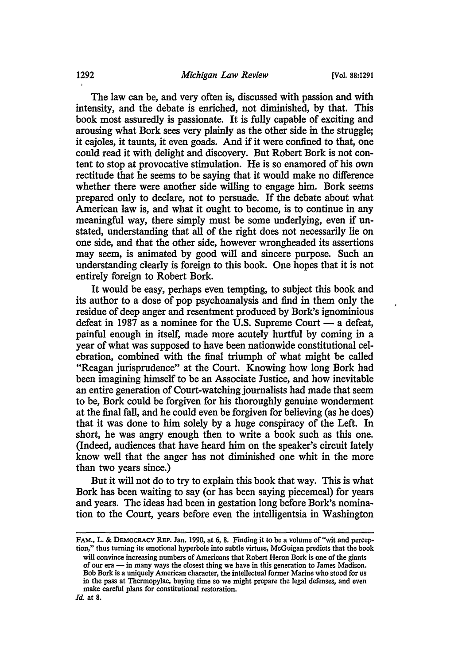The law can be, and very often is, discussed with passion and with intensity, and the debate is enriched, not diminished, by that. This book most assuredly is passionate. It is fully capable of exciting and arousing what Bork sees very plainly as the other side in the struggle; it cajoles, it taunts, it even goads. And if it were confined to that, one could read it with delight and discovery. But Robert Bork is not content to stop at provocative stimulation. He is so enamored of his own rectitude that he seems to be saying that it would make no difference whether there were another side willing to engage him. Bork seems prepared only to declare, not to persuade. If the debate about what American law is, and what it ought to become, is to continue in any meaningful way, there simply must be some underlying, even if unstated, understanding that all of the right does not necessarily lie on one side, and that the other side, however wrongheaded its assertions may seem, is animated by good will and sincere purpose. Such an understanding clearly is foreign to this book. One hopes that it is not entirely foreign to Robert Bork.

It would be easy, perhaps even tempting, to subject this book and its author to a dose of pop psychoanalysis and find in them only the residue of deep anger and resentment produced by Bork's ignominious defeat in 1987 as a nominee for the U.S. Supreme Court  $-$  a defeat, painful enough in itself, made more acutely hurtful by coming in a year of what was supposed to have been nationwide constitutional celebration, combined with the final triumph of what might be called "Reagan jurisprudence" at the Court. Knowing how long Bork had been imagining himself to be an Associate Justice, and how inevitable an entire generation of Court-watching journalists had made that seem to be, Bork could be forgiven for his thoroughly genuine wonderment at the final fall, and he could even be forgiven for believing (as he does) that it was done to him solely by a huge conspiracy of the Left. In short, he was angry enough then to write a book such as this one. (Indeed, audiences that have heard him on the speaker's circuit lately know well that the anger has not diminished one whit in the more than two years since.)

But it will not do to try to explain this book that way. This is what Bork has been waiting to say (or has been saying piecemeal) for years and years. The ideas had been in gestation long before Bork's nomination to the Court, years before even the intelligentsia in Washington

FAM., L. & DEMOCRACY REP. Jan. 1990, at 6, 8. Finding it to be a volume of "wit and perception," thus turning its emotional hyperbole into subtle virtues, McGuigan predicts that the book will convince increasing numbers of Americans that Robert Heron Bork is one of the giants of our era - in many ways the closest thing we have in this generation to James Madison. Bob Bork is a uniquely American character, the intellectual former Marine who stood for us in the pass at Thermopylae, buying time so we might prepare the legal defenses, and even make careful plans for constitutional restoration.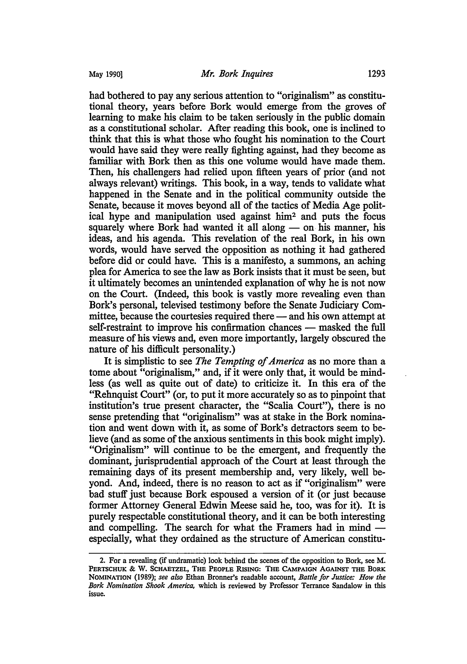had bothered to pay any serious attention to "originalism" as constitutional theory, years before Bork would emerge from the groves of learning to make his claim to be taken seriously in the public domain as a constitutional scholar. After reading this book, one is inclined to think that this is what those who fought his nomination to the Court would have said they were really fighting against, had they become as familiar with Bork then as this one volume would have made them. Then, his challengers had relied upon fifteen years of prior (and not always relevant) writings. This book, in a way, tends to validate what happened in the Senate and in the political community outside the Senate, because it moves beyond all of the tactics of Media Age political hype and manipulation used against him2 and puts the focus squarely where Bork had wanted it all along  $-$  on his manner, his ideas, and his agenda. This revelation of the real Bork, in his own words, would have served the opposition as nothing it had gathered before did or could have. This is a manifesto, a summons, an aching plea for America to see the law as Bork insists that it must be seen, but it ultimately becomes an unintended explanation of why he is not now on the Court. (Indeed, this book is vastly more revealing even than Bork's personal, televised testimony before the Senate Judiciary Committee, because the courtesies required there — and his own attempt at self-restraint to improve his confirmation chances — masked the full measure of his views and, even more importantly, largely obscured the nature of his difficult personality.)

It is simplistic to see *The Tempting of America* as no more than a tome about "originalism," and, if it were only that, it would be mindless (as well as quite out of date) to criticize it. In this era of the "Rehnquist Court" (or, to put it more accurately so as to pinpoint that institution's true present character, the "Scalia Court"), there is no sense pretending that "originalism" was at stake in the Bork nomination and went down with it, as some of Bork's detractors seem to believe (and as some of the anxious sentiments in this book might imply). "Originalism" will continue to be the emergent, and frequently the dominant, jurisprudential approach of the Court at least through the remaining days of its present membership and, very likely, well beyond. And, indeed, there is no reason to act as if "originalism" were bad stuff just because Bork espoused a version of it (or just because former Attorney General Edwin Meese said he, too, was for it). It is purely respectable constitutional theory, and it can be both interesting and compelling. The search for what the Framers had in mind especially, what they ordained as the structure of American constitu-

<sup>2.</sup> For a revealing (if undramatic) look behind the scenes of the opposition to Bork, see M. PERTSCHUK & W. SCHAETZEL, THE PEOPLE RISING: THE CAMPAIGN AGAINST THE BORK NOMINATION (1989); *see also* Ethan Bronner's readable account, *Battle for Justice: How the Bork Nomination Shook America,* which is reviewed by Professor Terrance Sandalow in this issue.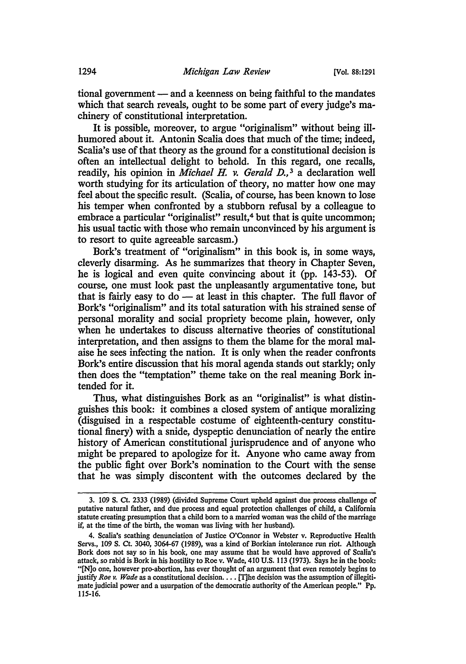tional government — and a keenness on being faithful to the mandates which that search reveals, ought to be some part of every judge's machinery of constitutional interpretation.

It is possible, moreover, to argue "originalism" without being illhumored about it. Antonin Scalia does that much of the time; indeed, Scalia's use of that theory as the ground for a constitutional decision is often an intellectual delight to behold. In this regard, one recalls, readily, his opinion in *Michael H. v. Gerald D.,* 3 a declaration well worth studying for its articulation of theory, no matter how one may feel about the specific result. (Scalia, of course, has been known to lose his temper when confronted by a stubborn refusal by a colleague to embrace a particular "originalist" result,<sup>4</sup> but that is quite uncommon; his usual tactic with those who remain unconvinced by his argument is to resort to quite agreeable sarcasm.)

Bork's treatment of "originalism" in this book is, in some ways, cleverly disarming. As he summarizes that theory in Chapter Seven, he is logical and even quite convincing about it (pp. 143-53). Of course, one must look past the unpleasantly argumentative tone, but that is fairly easy to  $do - at least$  in this chapter. The full flavor of Bork's "originalism" and its total saturation with his strained sense of personal morality and social propriety become plain, however, only when he undertakes to discuss alternative theories of constitutional interpretation, and then assigns to them the blame for the moral malaise he sees infecting the nation. It is only when the reader confronts Bork's entire discussion that his moral agenda stands out starkly; only then does the "temptation" theme take on the real meaning Bork intended for it.

Thus, what distinguishes Bork as an "originalist" is what distinguishes this book: it combines a closed system of antique moralizing (disguised in a respectable costume of eighteenth-century constitutional finery) with a snide, dyspeptic denunciation of nearly the entire history of American constitutional jurisprudence and of anyone who might be prepared to apologize for it. Anyone who came away from the public fight over Bork's nomination to the Court with the sense that he was simply discontent with the outcomes declared by the

<sup>3. 109</sup> S. Ct. 2333 (1989) (divided Supreme Court upheld against due process challenge of putative natural father, and due process and equal protection challenges of child, a California statute creating presumption that a child born to a married woman was the child of the marriage if, at the time of the birth, the woman was living with her husband).

<sup>4.</sup> Scalia's scathing denunciation of Justice O'Connor in Webster v. Reproductive Health Servs., 109 S. Ct. 3040, 3064-67 (1989), was a kind of Borkian intolerance run riot. Although Bork does not say so in his book, one may assume that he would have approved of Scalia's attack, so rabid is Bork in his hostility to Roe v. Wade, 410 U.S. 113 (1973). Says he in the book: "[N]o one, however pro-abortion, has ever thought of an argument that even remotely begins to justify *Roe v. Wade* as a constitutional decision .... [T]he decision was the assumption of illegitimate judicial power and a usurpation of the democratic authority of the American people." Pp. 115-16.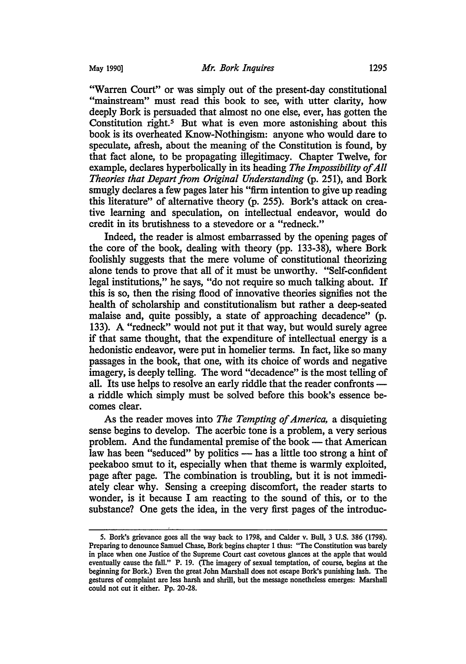"Warren Court" or was simply out of the present-day constitutional "mainstream" must read this book to see, with utter clarity, how deeply Bork is persuaded that almost no one else, ever, has gotten the Constitution right.<sup>5</sup> But what is even more astonishing about this book is its overheated Know-Nothingism: anyone who would dare to speculate, afresh, about the meaning of the Constitution is found, by that fact alone, to be propagating illegitimacy. Chapter Twelve, for example, declares hyperbolically in its heading *The Impossibility of All Theories that Depart from Original Understanding* (p. 251 ), and Bork smugly declares a few pages later his "firm intention to give up reading this literature" of alternative theory (p. 255). Bork's attack on creative learning and speculation, on intellectual endeavor, would do credit in its brutishness to a stevedore or a "redneck."

Indeed, the reader is almost embarrassed by the opening pages of the core of the book, dealing with theory (pp. 133-38), where Bork foolishly suggests that the mere volume of constitutional theorizing alone tends to prove that all of it must be unworthy. "Self-confident legal institutions," he says, "do not require so much talking about. If this is so, then the rising flood of innovative theories signifies not the health of scholarship and constitutionalism but rather a deep-seated malaise and, quite possibly, a state of approaching decadence" (p. 133). A "redneck" would not put it that way, but would surely agree if that same thought, that the expenditure of intellectual energy is a hedonistic endeavor, were put in homelier terms. In fact, like so many passages in the book, that one, with its choice of words and negative imagery, is deeply telling. The word "decadence" is the most telling of all. Its use helps to resolve an early riddle that the reader confronts a riddle which simply must be solved before this book's essence becomes clear.

As the reader moves into *The Tempting of America,* a disquieting sense begins to develop. The acerbic tone is a problem, a very serious problem. And the fundamental premise of the book — that American law has been "seduced" by politics - has a little too strong a hint of peekaboo smut to it, especially when that theme is warmly exploited, page after page. The combination is troubling, but it is not immediately clear why. Sensing a creeping discomfort, the reader starts to wonder, is it because I am reacting to the sound of this, or to the substance? One gets the idea, in the very first pages of the introduc-

<sup>5.</sup> Bork's grievance goes all the way back to 1798, and Calder v. Bull, 3 U.S. 386 (1798). Preparing to denounce Samuel Chase, Bork begins chapter 1 thus: "The Constitution was barely in place when one Justice of the Supreme Court cast covetous glances at the apple that would eventually cause the fall." P. 19. (The imagery of sexual temptation, of course, begins at the beginning for Bork.) Even the great John Marshall does not escape Bork's punishing lash. The gestures of complaint are less harsh and shrill, but the message nonetheless emerges: Marshall could not cut it either. Pp. 20-28.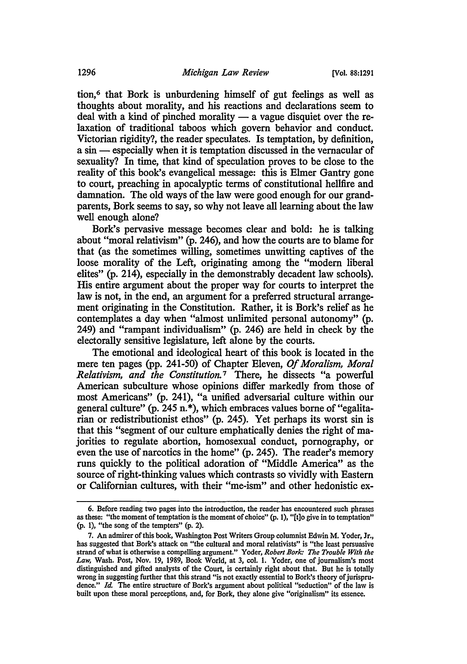tion, 6 that Bork is unburdening himself of gut feelings as well as thoughts about morality, and his reactions and declarations seem to deal with a kind of pinched morality  $-$  a vague disquiet over the relaxation of traditional taboos which govern behavior and conduct. Victorian rigidity?, the reader speculates. Is temptation, by definition, a sin — especially when it is temptation discussed in the vernacular of sexuality? In time, that kind of speculation proves to be close to the reality of this book's evangelical message: this is Elmer Gantry gone to court, preaching in apocalyptic terms of constitutional hellfire and damnation. The old ways of the law were good enough for our grandparents, Bork seems to say, so why not leave all learning about the law well enough alone?

Bork's pervasive message becomes clear and bold: he is talking about "moral relativism" (p. 246), and how the courts are to blame for that (as the sometimes willing, sometimes unwitting captives of the loose morality of the Left, originating among the "modem liberal elites" (p. 214), especially in the demonstrably decadent law schools). His entire argument about the proper way for courts to interpret the law is not, in the end, an argument for a preferred structural arrangement originating in the Constitution. Rather, it is Bork's relief as he contemplates a day when "almost unlimited personal autonomy" (p. 249) and "rampant individualism" (p. 246) are held in check by the electorally sensitive legislature, left alone by the courts.

The emotional and ideological heart of this book is located in the mere ten pages (pp. 241-50) of Chapter Eleven, *Of Mora/ism, Moral Relativism, and the Constitution.* 7 There, he dissects "a powerful American subculture whose opinions differ markedly from those of most Americans" (p. 241), "a unified adversarial culture within our general culture" (p. 245 n. \*), which embraces values borne of "egalitarian or redistributionist ethos" (p. 245). Yet perhaps its worst sin is that this "segment of our culture emphatically denies the right of majorities to regulate abortion, homosexual conduct, pornography, or even the use of narcotics in the home" (p. 245). The reader's memory runs quickly to the political adoration of "Middle America" as the source of right-thinking values which contrasts so vividly with Eastern or Californian cultures, with their "me-ism" and other hedonistic ex-

<sup>6.</sup> Before reading two pages into the introduction, the reader has encountered such phrases as these: "the moment of temptation is the moment of choice" (p. 1), "[t]o give in to temptation" (p. 1), "the song of the tempters" (p. 2).

<sup>7.</sup> An admirer of this book, Washington Post Writers Group columnist Edwin M. Yoder, Jr., has suggested that Bork's attack on "the cultural and moral relativists" is "the least persuasive strand of what is otherwise a compelling argument." Yoder, *Robert Bork: The Trouble With the Law,* Wash. Post, Nov. 19, 1989, Book World, at 3, col. 1. Yoder, one of journalism's most distinguished and gifted analysts of the Court, is certainly right about that. But he is totally wrong in suggesting further that this strand "is not exactly essential to Bork's theory of jurispru· dence." *Id.* The entire structure of Bork's argument about political "seduction" of the law is built upon these moral perceptions, and, for Bork, they alone give "originalism" its essence.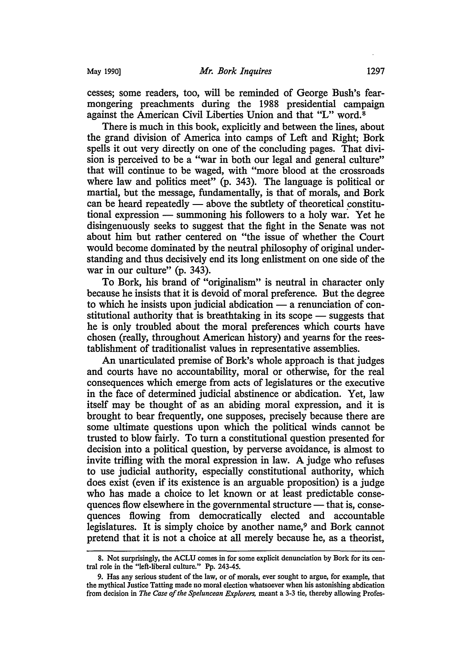cesses; some readers, too, will be reminded of George Bush's fearmongering preachments during the 1988 presidential campaign against the American Civil Liberties Union and that "L" word.<sup>8</sup>

There is much in this book, explicitly and between the lines, about the grand division of America into camps of Left and Right; Bork spells it out very directly on one of the concluding pages. That division is perceived to be a "war in both our legal and general culture" that will continue to be waged, with "more blood at the crossroads where law and politics meet" (p. 343). The language is political or martial, but the message, fundamentally, is that of morals, and Bork can be heard repeatedly  $-$  above the subtlety of theoretical constitutional expression  $-$  summoning his followers to a holy war. Yet he disingenuously seeks to suggest that the fight in the Senate was not about him but rather centered on "the issue of whether the Court would become dominated by the neutral philosophy of original understanding and thus decisively end its long enlistment on one side of the war in our culture" (p. 343).

To Bork, his brand of "originalism" is neutral in character only because he insists that it is devoid of moral preference. But the degree to which he insists upon judicial abdication  $-$  a renunciation of constitutional authority that is breathtaking in its scope — suggests that he is only troubled about the moral preferences which courts have chosen (really, throughout American history) and yearns for the reestablishment of traditionalist values in representative assemblies.

An unarticulated premise of Bork's whole approach is that judges and courts have no accountability, moral or otherwise, for the real consequences which emerge from acts of legislatures or the executive in the face of determined judicial abstinence or abdication. Yet, law itself may be thought of as an abiding moral expression, and it is brought to bear frequently, one supposes, precisely because there are some ultimate questions upon which the political winds cannot be trusted to blow fairly. To tum a constitutional question presented for decision into a political question, by perverse avoidance, is almost to invite trifling with the moral expression in law. A judge who refuses to use judicial authority, especially constitutional authority, which does exist (even if its existence is an arguable proposition) is a judge who has made a choice to let known or at least predictable consequences flow elsewhere in the governmental structure  $-$  that is, consequences flowing from democratically elected and accountable legislatures. It is simply choice by another name,<sup>9</sup> and Bork cannot pretend that it is not a choice at all merely because he, as a theorist,

<sup>8.</sup> Not surprisingly, the ACLU comes in for some explicit denunciation by Bork for its central role in the "left-liberal culture." Pp. 243-45.

<sup>9.</sup> Has any serious student of the law, or of morals, ever sought to argue, for example, that the mythical Justice Tatting made no moral election whatsoever when his astonishing abdication from decision in *The Case of the Speluncean Explorers,* meant a 3-3 tie, thereby allowing Profes-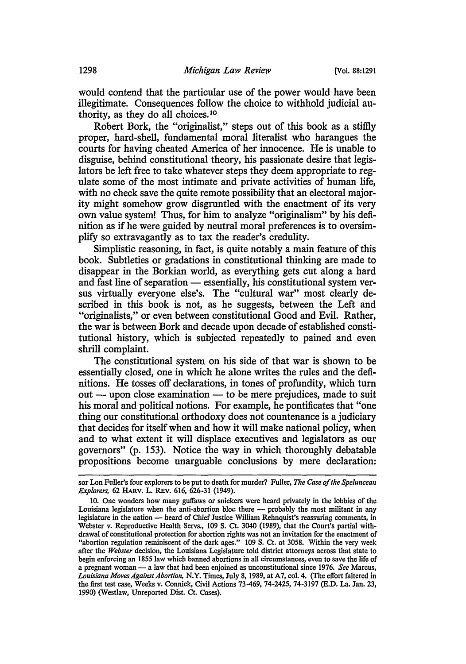would contend that the particular use of the power would have been illegitimate. Consequences follow the choice to withhold judicial authority, as they do all choices. <sup>10</sup>

Robert Bork, the "originalist," steps out of this book as a stiffly proper, hard-shell, fundamental moral literalist who harangues the courts for having cheated America of her innocence. He is unable to disguise, behind constitutional theory, his passionate desire that legislators be left free to take whatever steps they deem appropriate to regulate some of the most intimate and private activities of human life, with no check save the quite remote possibility that an electoral majority might somehow grow disgruntled with the enactment of its very own value system! Thus, for him to analyze "originalism" by his definition as if he were guided by neutral moral preferences is to oversimplify so extravagantly as to tax the reader's credulity.

Simplistic reasoning, in fact, is quite notably a main feature of this book. Subtleties or gradations in constitutional thinking are made to disappear in the Borkian world, as everything gets cut along a hard and fast line of separation  $-$  essentially, his constitutional system versus virtually everyone else's. The "cultural war" most clearly described in this book is not, as he suggests, between the Left and "originalists," or even between constitutional Good and Evil. Rather, the war is between Bork and decade upon decade of established constitutional history, which is subjected repeatedly to pained and even shrill complaint.

The constitutional system on his side of that war is shown to be essentially closed, one in which he alone writes the rules and the definitions. He tosses off declarations, in tones of profundity, which tum out - upon close examination - to be mere prejudices, made to suit his moral and political notions. For example, he pontificates that "one thing our constitutional orthodoxy does not countenance is a judiciary that decides for itself when and how it will make national policy, when and to what extent it will displace executives and legislators as our governors" (p. 153). Notice the way in which thoroughly debatable propositions become unarguable conclusions by mere declaration:

sor Lon Fuller's four explorers to be put to death for murder? Fuller, *The Case of the Speluncean Explorers,* 62 HARV. L. REV. 616, 626-31 (1949).

<sup>10.</sup> One wonders how many guffaws or snickers were heard privately in the lobbies of the Louisiana legislature when the anti-abortion bloc there  $-$  probably the most militant in any legislature in the nation - heard of Chief Justice William Rehnquist's reassuring comments, in Webster v. Reproductive Health Servs., 109 S. Ct. 3040 (1989), that the Court's partial withdrawal of constitutional protection for abortion rights was not an invitation for the enactment of "abortion regulation reminiscent of the dark ages." 109 S. Ct. at 3058. Within the very week after the *Webster* decision, the Louisiana Legislature told district attorneys across that state to begin enforcing an 1855 law which banned abortions in all circumstances, even to save the life of a pregnant woman - a law that had been enjoined as unconstitutional since 1976. *See* Marcus, *Louisiana Moves Against Abortion,* N.Y. Times, July 8, 1989, at A7, col. 4. (The effort faltered in the first test case, Weeks v. Connick, Civil Actions 73-469, 74-2425, 74-3197 (E.D. La. Jan. 23, 1990) (Westlaw, Unreported Dist. Ct. Cases).